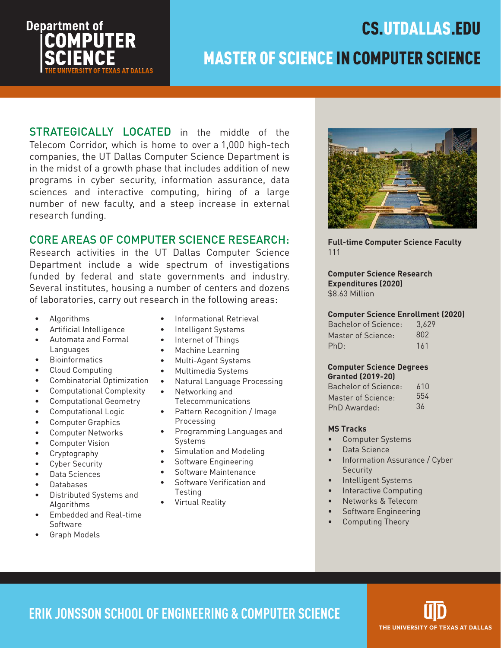

# MASTER OF SCIENCE IN COMPUTER SCIENCE

STRATEGICALLY LOCATED in the middle of the Telecom Corridor, which is home to over a 1,000 high-tech companies, the UT Dallas Computer Science Department is in the midst of a growth phase that includes addition of new programs in cyber security, information assurance, data sciences and interactive computing, hiring of a large number of new faculty, and a steep increase in external research funding.

### CORE AREAS OF COMPUTER SCIENCE RESEARCH:

Research activities in the UT Dallas Computer Science Department include a wide spectrum of investigations funded by federal and state governments and industry. Several institutes, housing a number of centers and dozens of laboratories, carry out research in the following areas:

- Algorithms
- Artificial Intelligence
- Automata and Formal Languages
- Bioinformatics
- Cloud Computing
- Combinatorial Optimization
- Computational Complexity
- Computational Geometry
- Computational Logic
- Computer Graphics
- Computer Networks
- Computer Vision
- Cryptography
- Cyber Security
- Data Sciences
- Databases
- Distributed Systems and Algorithms
- Embedded and Real-time Software
- Graph Models
- Informational Retrieval
- Intelligent Systems
- Internet of Things
- Machine Learning
- Multi-Agent Systems
- Multimedia Systems
- Natural Language Processing
- Networking and
- Telecommunications
- Pattern Recognition / Image Processing
- Programming Languages and Systems
- Simulation and Modeling
- Software Engineering
- Software Maintenance
- Software Verification and Testing
- Virtual Reality



CS.UTDALLAS.EDU

**Full-time Computer Science Faculty** 111

**Computer Science Research Expenditures (2020)** \$8.63 Million

#### **Computer Science Enrollment (2020)**

| Bachelor of Science: | 3.629 |
|----------------------|-------|
| Master of Science:   | 802   |
| PhD:                 | 161   |

#### **Computer Science Degrees Granted (2019-20)**

| Bachelor of Science: | 610 |
|----------------------|-----|
| Master of Science:   | 554 |
| PhD Awarded:         | 36  |

#### **MS Tracks**

- Computer Systems
- Data Science
- Information Assurance / Cyber **Security**
- Intelligent Systems
- Interactive Computing
- Networks & Telecom
- Software Engineering
- Computing Theory

**ERIK JONSSON SCHOOL OF ENGINEERING & COMPUTER SCIENCE**